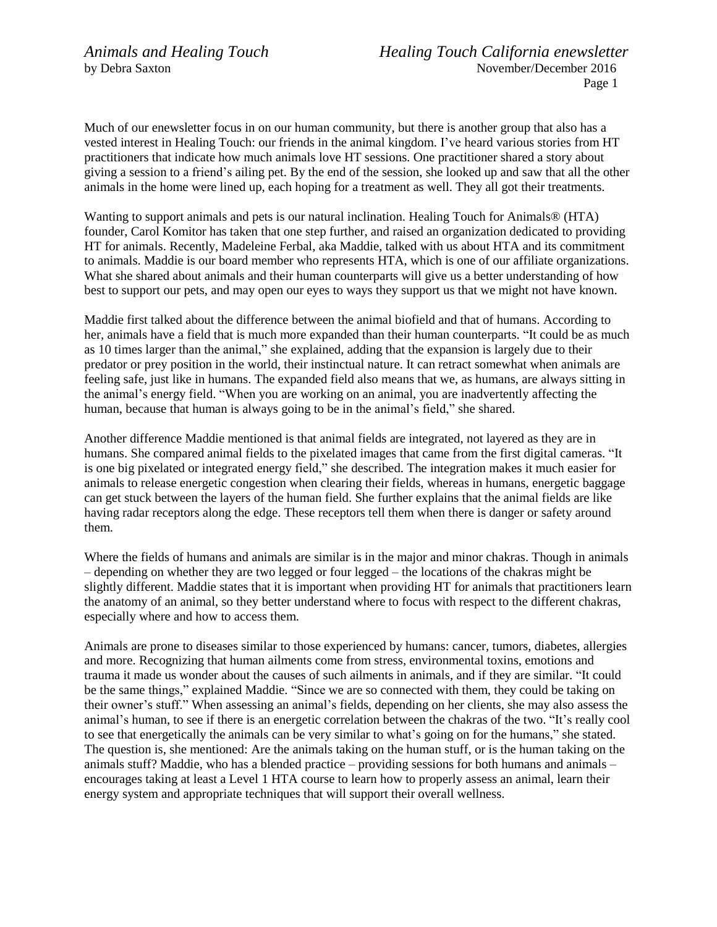Much of our enewsletter focus in on our human community, but there is another group that also has a vested interest in Healing Touch: our friends in the animal kingdom. I've heard various stories from HT practitioners that indicate how much animals love HT sessions. One practitioner shared a story about giving a session to a friend's ailing pet. By the end of the session, she looked up and saw that all the other animals in the home were lined up, each hoping for a treatment as well. They all got their treatments.

Wanting to support animals and pets is our natural inclination. Healing Touch for Animals® (HTA) founder, Carol Komitor has taken that one step further, and raised an organization dedicated to providing HT for animals. Recently, Madeleine Ferbal, aka Maddie, talked with us about HTA and its commitment to animals. Maddie is our board member who represents HTA, which is one of our affiliate organizations. What she shared about animals and their human counterparts will give us a better understanding of how best to support our pets, and may open our eyes to ways they support us that we might not have known.

Maddie first talked about the difference between the animal biofield and that of humans. According to her, animals have a field that is much more expanded than their human counterparts. "It could be as much as 10 times larger than the animal," she explained, adding that the expansion is largely due to their predator or prey position in the world, their instinctual nature. It can retract somewhat when animals are feeling safe, just like in humans. The expanded field also means that we, as humans, are always sitting in the animal's energy field. "When you are working on an animal, you are inadvertently affecting the human, because that human is always going to be in the animal's field," she shared.

Another difference Maddie mentioned is that animal fields are integrated, not layered as they are in humans. She compared animal fields to the pixelated images that came from the first digital cameras. "It is one big pixelated or integrated energy field," she described. The integration makes it much easier for animals to release energetic congestion when clearing their fields, whereas in humans, energetic baggage can get stuck between the layers of the human field. She further explains that the animal fields are like having radar receptors along the edge. These receptors tell them when there is danger or safety around them.

Where the fields of humans and animals are similar is in the major and minor chakras. Though in animals – depending on whether they are two legged or four legged – the locations of the chakras might be slightly different. Maddie states that it is important when providing HT for animals that practitioners learn the anatomy of an animal, so they better understand where to focus with respect to the different chakras, especially where and how to access them.

Animals are prone to diseases similar to those experienced by humans: cancer, tumors, diabetes, allergies and more. Recognizing that human ailments come from stress, environmental toxins, emotions and trauma it made us wonder about the causes of such ailments in animals, and if they are similar. "It could be the same things," explained Maddie. "Since we are so connected with them, they could be taking on their owner's stuff." When assessing an animal's fields, depending on her clients, she may also assess the animal's human, to see if there is an energetic correlation between the chakras of the two. "It's really cool to see that energetically the animals can be very similar to what's going on for the humans," she stated. The question is, she mentioned: Are the animals taking on the human stuff, or is the human taking on the animals stuff? Maddie, who has a blended practice – providing sessions for both humans and animals – encourages taking at least a Level 1 HTA course to learn how to properly assess an animal, learn their energy system and appropriate techniques that will support their overall wellness.